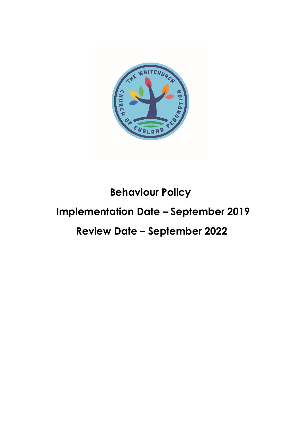

# **Behaviour Policy Implementation Date – September 2019**

# **Review Date – September 2022**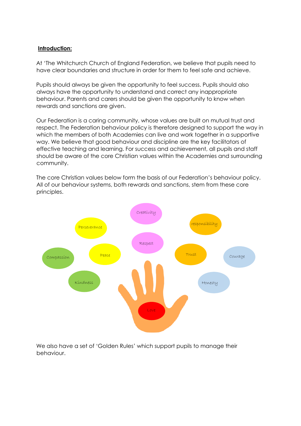## **Introduction:**

At 'The Whitchurch Church of England Federation, we believe that pupils need to have clear boundaries and structure in order for them to feel safe and achieve.

Pupils should always be given the opportunity to feel success. Pupils should also always have the opportunity to understand and correct any inappropriate behaviour. Parents and carers should be given the opportunity to know when rewards and sanctions are given.

Our Federation is a caring community, whose values are built on mutual trust and respect. The Federation behaviour policy is therefore designed to support the way in which the members of both Academies can live and work together in a supportive way. We believe that good behaviour and discipline are the key facilitators of effective teaching and learning. For success and achievement, all pupils and staff should be aware of the core Christian values within the Academies and surrounding community.

The core Christian values below form the basis of our Federation's behaviour policy. All of our behaviour systems, both rewards and sanctions, stem from these core principles.



We also have a set of 'Golden Rules' which support pupils to manage their behaviour.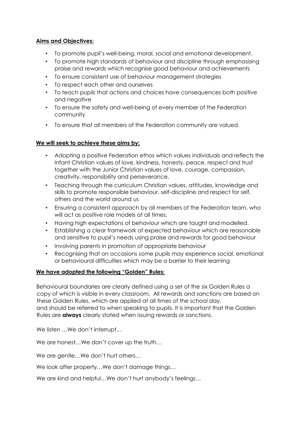# **Aims and Objectives:**

- To promote pupil's well-being, moral, social and emotional development.
- To promote high standards of behaviour and discipline through emphasising praise and rewards which recognise good behaviour and achievements
- To ensure consistent use of behaviour management strategies
- To respect each other and ourselves
- To teach pupils that actions and choices have consequences both positive and negative
- To ensure the safety and well-being of every member of the Federation community
- To ensure that all members of the Federation community are valued

## **We will seek to achieve these aims by:**

- Adopting a positive Federation ethos which values individuals and reflects the Infant Christian values of love, kindness, honesty, peace, respect and trust together with the Junior Christian values of love, courage, compassion, creativity, responsibility and perseverance.
- Teaching through the curriculum Christian values, attitudes, knowledge and skills to promote responsible behaviour, self-discipline and respect for self, others and the world around us
- Ensuring a consistent approach by all members of the Federation team, who will act as positive role models at all times.
- Having high expectations of behaviour which are taught and modelled.
- Establishing a clear framework of expected behaviour which are reasonable and sensitive to pupil's needs using praise and rewards for good behaviour
- Involving parents in promotion of appropriate behaviour
- Recognising that on occasions some pupils may experience social, emotional or behavioural difficulties which may be a barrier to their learning

# **We have adopted the following "Golden" Rules:**

Behavioural boundaries are clearly defined using a set of the six Golden Rules a copy of which is visible in every classroom. All rewards and sanctions are based on these Golden Rules, which are applied at all times of the school day, and should be referred to when speaking to pupils. It is important that the Golden Rules are **always** clearly stated when issuing rewards or sanctions.

We listen …We don't interrupt…

We are honest...We don't cover up the truth...

We are gentle…We don't hurt others…

We look after property…We don't damage things…

We are kind and helpful...We don't hurt anybody's feelings...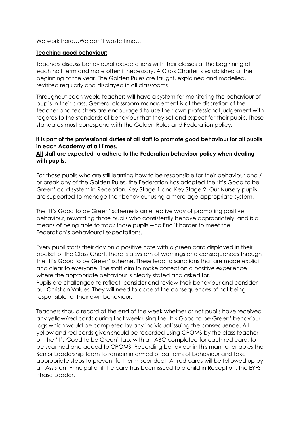We work hard…We don't waste time…

#### **Teaching good behaviour:**

Teachers discuss behavioural expectations with their classes at the beginning of each half term and more often if necessary. A Class Charter is established at the beginning of the year. The Golden Rules are taught, explained and modelled, revisited regularly and displayed in all classrooms.

Throughout each week, teachers will have a system for monitoring the behaviour of pupils in their class. General classroom management is at the discretion of the teacher and teachers are encouraged to use their own professional judgement with regards to the standards of behaviour that they set and expect for their pupils. These standards must correspond with the Golden Rules and Federation policy.

# **It is part of the professional duties of all staff to promote good behaviour for all pupils in each Academy at all times.**

# **All staff are expected to adhere to the Federation behaviour policy when dealing with pupils.**

For those pupils who are still learning how to be responsible for their behaviour and / or break any of the Golden Rules, the Federation has adopted the 'It's Good to be Green' card system in Reception, Key Stage 1 and Key Stage 2. Our Nursery pupils are supported to manage their behaviour using a more age-appropriate system.

The 'It's Good to be Green' scheme is an effective way of promoting positive behaviour, rewarding those pupils who consistently behave appropriately, and is a means of being able to track those pupils who find it harder to meet the Federation's behavioural expectations.

Every pupil starts their day on a positive note with a green card displayed in their pocket of the Class Chart. There is a system of warnings and consequences through the 'It's Good to be Green' scheme. These lead to sanctions that are made explicit and clear to everyone. The staff aim to make correction a positive experience where the appropriate behaviour is clearly stated and asked for. Pupils are challenged to reflect, consider and review their behaviour and consider our Christian Values. They will need to accept the consequences of not being responsible for their own behaviour.

Teachers should record at the end of the week whether or not pupils have received any yellow/red cards during that week using the 'It's Good to be Green' behaviour logs which would be completed by any individual issuing the consequence. All yellow and red cards given should be recorded using CPOMS by the class teacher on the 'It's Good to be Green' tab, with an ABC completed for each red card, to be scanned and added to CPOMS. Recording behaviour in this manner enables the Senior Leadership team to remain informed of patterns of behaviour and take appropriate steps to prevent further misconduct. All red cards will be followed up by an Assistant Principal or if the card has been issued to a child in Reception, the EYFS Phase Leader.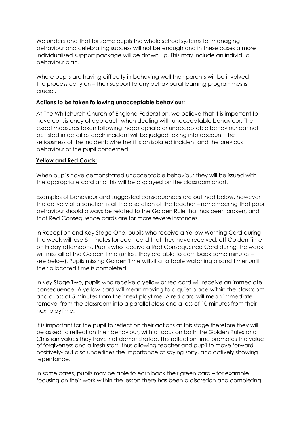We understand that for some pupils the whole school systems for managing behaviour and celebrating success will not be enough and in these cases a more individualised support package will be drawn up. This may include an individual behaviour plan.

Where pupils are having difficulty in behaving well their parents will be involved in the process early on – their support to any behavioural learning programmes is crucial.

#### **Actions to be taken following unacceptable behaviour:**

At The Whitchurch Church of England Federation, we believe that it is important to have consistency of approach when dealing with unacceptable behaviour. The exact measures taken following inappropriate or unacceptable behaviour cannot be listed in detail as each incident will be judged taking into account; the seriousness of the incident; whether it is an isolated incident and the previous behaviour of the pupil concerned.

#### **Yellow and Red Cards:**

When pupils have demonstrated unacceptable behaviour they will be issued with the appropriate card and this will be displayed on the classroom chart.

Examples of behaviour and suggested consequences are outlined below, however the delivery of a sanction is at the discretion of the teacher – remembering that poor behaviour should always be related to the Golden Rule that has been broken, and that Red Consequence cards are for more severe instances.

In Reception and Key Stage One, pupils who receive a Yellow Warning Card during the week will lose 5 minutes for each card that they have received, off Golden Time on Friday afternoons. Pupils who receive a Red Consequence Card during the week will miss all of the Golden Time (unless they are able to earn back some minutes – see below). Pupils missing Golden Time will sit at a table watching a sand timer until their allocated time is completed.

In Key Stage Two, pupils who receive a yellow or red card will receive an immediate consequence. A yellow card will mean moving to a quiet place within the classroom and a loss of 5 minutes from their next playtime. A red card will mean immediate removal from the classroom into a parallel class and a loss of 10 minutes from their next playtime.

It is important for the pupil to reflect on their actions at this stage therefore they will be asked to reflect on their behaviour, with a focus on both the Golden Rules and Christian values they have not demonstrated. This reflection time promotes the value of forgiveness and a fresh start- thus allowing teacher and pupil to move forward positively- but also underlines the importance of saying sorry, and actively showing repentance.

In some cases, pupils may be able to earn back their green card – for example focusing on their work within the lesson there has been a discretion and completing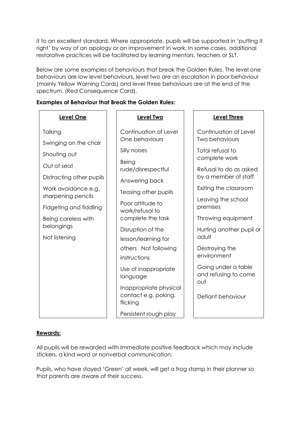it to an excellent standard. Where appropriate, pupils will be supported in 'putting it right' by way of an apology or an improvement in work. In some cases, additional restorative practices will be facilitated by learning mentors, teachers or SLT.

Below are some examples of behaviours that break the Golden Rules. The level one behaviours are low level behaviours, level two are an escalation in poor behaviour (mainly Yellow Warning Cards) and level three behaviours are at the end of the spectrum. (Red Consequence Card).

**Level Two**

Continuation of Level

One behaviours

rude/disrespectful

Answering back

Silly noises

Being

#### **Examples of Behaviour that Break the Golden Rules:**

## **Level One**

**Talking** 

Swinging on the chair

Shouting out

Out of seat

Distracting other pupils

Work avoidance e.g.

Fidgeting and fiddling

Being careless with

belongings

Not listening

sharpening pencils Teasing other pupils

> Poor attitude to work/refusal to complete the task

> > Disruption of the lesson/learning for others Not following

instructions

Use of inappropriate language

Inappropriate physical contact e.g. poking, flicking

Persistent rough play

# **Level Three**

Continuation of Level Two behaviours

Total refusal to complete work

Refusal to do as asked by a member of staff

Exiting the classroom

Leaving the school premises

Throwing equipment

Hurting another pupil or adult

Destroying the environment

Going under a table and refusing to come out

Defiant behaviour

## **Rewards:**

All pupils will be rewarded with Immediate positive feedback which may include stickers, a kind word or nonverbal communication.

Pupils, who have stayed 'Green' all week, will get a frog stamp in their planner so that parents are aware of their success.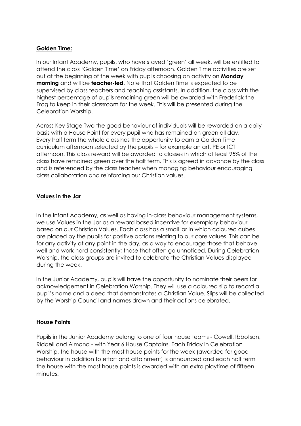# **Golden Time:**

In our Infant Academy, pupils, who have stayed 'green' all week, will be entitled to attend the class 'Golden Time' on Friday afternoon. Golden Time activities are set out at the beginning of the week with pupils choosing an activity on **Monday morning** and will be **teacher-led**. Note that Golden Time is expected to be supervised by class teachers and teaching assistants. In addition, the class with the highest percentage of pupils remaining green will be awarded with Frederick the Frog to keep in their classroom for the week. This will be presented during the Celebration Worship.

Across Key Stage Two the good behaviour of individuals will be rewarded on a daily basis with a House Point for every pupil who has remained on green all day. Every half term the whole class has the opportunity to earn a Golden Time curriculum afternoon selected by the pupils – for example an art, PE or ICT afternoon. This class reward will be awarded to classes in which at least 95% of the class have remained green over the half term. This is agreed in advance by the class and is referenced by the class teacher when managing behaviour encouraging class collaboration and reinforcing our Christian values.

# **Values in the Jar**

In the Infant Academy, as well as having in-class behaviour management systems, we use Values in the Jar as a reward based incentive for exemplary behaviour based on our Christian Values. Each class has a small jar in which coloured cubes are placed by the pupils for positive actions relating to our core values. This can be for any activity at any point in the day, as a way to encourage those that behave well and work hard consistently; those that often go unnoticed. During Celebration Worship, the class groups are invited to celebrate the Christian Values displayed during the week.

In the Junior Academy, pupils will have the opportunity to nominate their peers for acknowledgement in Celebration Worship. They will use a coloured slip to record a pupil's name and a deed that demonstrates a Christian Value. Slips will be collected by the Worship Council and names drawn and their actions celebrated.

# **House Points**

Pupils in the Junior Academy belong to one of four house teams - Cowell, Ibbotson, Riddell and Almond - with Year 6 House Captains. Each Friday in Celebration Worship, the house with the most house points for the week (awarded for good behaviour in addition to effort and attainment) is announced and each half term the house with the most house points is awarded with an extra playtime of fifteen minutes.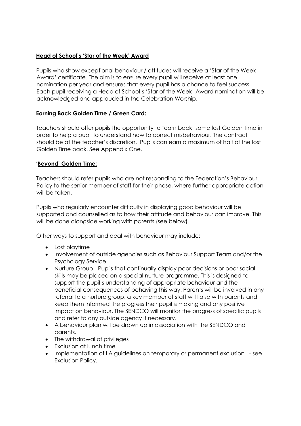# **Head of School's 'Star of the Week' Award**

Pupils who show exceptional behaviour / attitudes will receive a 'Star of the Week Award' certificate. The aim is to ensure every pupil will receive at least one nomination per year and ensures that every pupil has a chance to feel success. Each pupil receiving a Head of School's 'Star of the Week' Award nomination will be acknowledged and applauded in the Celebration Worship.

## **Earning Back Golden Time / Green Card:**

Teachers should offer pupils the opportunity to 'earn back' some lost Golden Time in order to help a pupil to understand how to correct misbehaviour. The contract should be at the teacher's discretion. Pupils can earn a maximum of half of the lost Golden Time back. See Appendix One.

## **'Beyond' Golden Time:**

Teachers should refer pupils who are not responding to the Federation's Behaviour Policy to the senior member of staff for their phase, where further appropriate action will be taken.

Pupils who regularly encounter difficulty in displaying good behaviour will be supported and counselled as to how their attitude and behaviour can improve. This will be done alongside working with parents (see below).

Other ways to support and deal with behaviour may include:

- Lost playtime
- Involvement of outside agencies such as Behaviour Support Team and/or the Psychology Service.
- Nurture Group Pupils that continually display poor decisions or poor social skills may be placed on a special nurture programme. This is designed to support the pupil's understanding of appropriate behaviour and the beneficial consequences of behaving this way. Parents will be involved in any referral to a nurture group, a key member of staff will liaise with parents and keep them informed the progress their pupil is making and any positive impact on behaviour. The SENDCO will monitor the progress of specific pupils and refer to any outside agency if necessary.
- A behaviour plan will be drawn up in association with the SENDCO and parents.
- The withdrawal of privileges
- Exclusion at lunch time
- Implementation of LA quidelines on temporary or permanent exclusion see Exclusion Policy.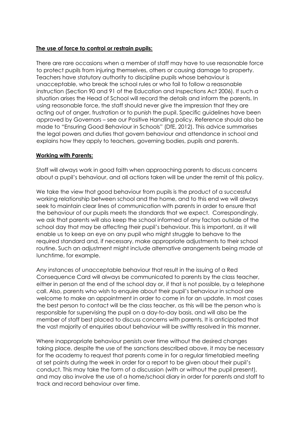## **The use of force to control or restrain pupils:**

There are rare occasions when a member of staff may have to use reasonable force to protect pupils from injuring themselves, others or causing damage to property. Teachers have statutory authority to discipline pupils whose behaviour is unacceptable, who break the school rules or who fail to follow a reasonable instruction (Section 90 and 91 of the Education and Inspections Act 2006). If such a situation arises the Head of School will record the details and inform the parents. In using reasonable force, the staff should never give the impression that they are acting out of anger, frustration or to punish the pupil. Specific guidelines have been approved by Governors – see our Positive Handling policy. Reference should also be made to "Ensuring Good Behaviour in Schools" (DfE, 2012). This advice summarises the legal powers and duties that govern behaviour and attendance in school and explains how they apply to teachers, governing bodies, pupils and parents.

#### **Working with Parents:**

Staff will always work in good faith when approaching parents to discuss concerns about a pupil's behaviour, and all actions taken will be under the remit of this policy.

We take the view that good behaviour from pupils is the product of a successful working relationship between school and the home, and to this end we will always seek to maintain clear lines of communication with parents in order to ensure that the behaviour of our pupils meets the standards that we expect. Correspondingly, we ask that parents will also keep the school informed of any factors outside of the school day that may be affecting their pupil's behaviour. This is important, as it will enable us to keep an eye on any pupil who might struggle to behave to the required standard and, if necessary, make appropriate adjustments to their school routine. Such an adjustment might include alternative arrangements being made at lunchtime, for example.

Any instances of unacceptable behaviour that result in the issuing of a Red Consequence Card will always be communicated to parents by the class teacher, either in person at the end of the school day or, if that is not possible, by a telephone call. Also, parents who wish to enquire about their pupil's behaviour in school are welcome to make an appointment in order to come in for an update. In most cases the best person to contact will be the class teacher, as this will be the person who is responsible for supervising the pupil on a day-to-day basis, and will also be the member of staff best placed to discuss concerns with parents. It is anticipated that the vast majority of enquiries about behaviour will be swiftly resolved in this manner.

Where inappropriate behaviour persists over time without the desired changes taking place, despite the use of the sanctions described above, it may be necessary for the academy to request that parents come in for a regular timetabled meeting at set points during the week in order for a report to be given about their pupil's conduct. This may take the form of a discussion (with or without the pupil present), and may also involve the use of a home/school diary in order for parents and staff to track and record behaviour over time.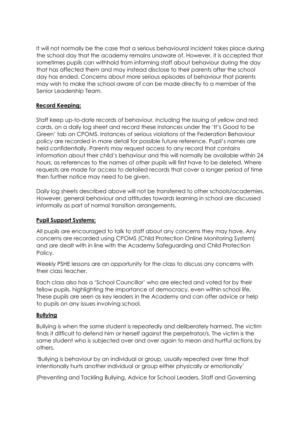It will not normally be the case that a serious behavioural incident takes place during the school day that the academy remains unaware of. However, it is accepted that sometimes pupils can withhold from informing staff about behaviour during the day that has affected them and may instead disclose to their parents after the school day has ended. Concerns about more serious episodes of behaviour that parents may wish to make the school aware of can be made directly to a member of the Senior Leadership Team.

# **Record Keeping:**

Staff keep up-to-date records of behaviour, including the issuing of yellow and red cards, on a daily log sheet and record these instances under the 'It's Good to be Green' tab on CPOMS. Instances of serious violations of the Federation Behaviour policy are recorded in more detail for possible future reference. Pupil's names are held confidentially. Parents may request access to any record that contains information about their child's behaviour and this will normally be available within 24 hours, as references to the names of other pupils will first have to be deleted. Where requests are made for access to detailed records that cover a longer period of time then further notice may need to be given.

Daily log sheets described above will not be transferred to other schools/academies. However, general behaviour and attitudes towards learning in school are discussed informally as part of normal transition arrangements.

## **Pupil Support Systems:**

All pupils are encouraged to talk to staff about any concerns they may have. Any concerns are recorded using CPOMS (Child Protection Online Monitoring System) and are dealt with in line with the Academy Safeguarding and Child Protection Policy.

Weekly PSHE lessons are an opportunity for the class to discuss any concerns with their class teacher.

Each class also has a 'School Councillor' who are elected and voted for by their fellow pupils, highlighting the importance of democracy, even within school life. These pupils are seen as key leaders in the Academy and can offer advice or help to pupils on any issues involving school.

## **Bullying**

Bullying is when the same student is repeatedly and deliberately harmed. The victim finds it difficult to defend him or herself against the perpetrator/s. The victim is the same student who is subjected over and over again to mean and hurtful actions by others.

'Bullying is behaviour by an individual or group, usually repeated over time that intentionally hurts another individual or group either physically or emotionally'

(Preventing and Tackling Bullying, Advice for School Leaders, Staff and Governing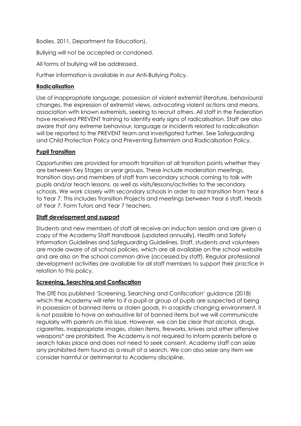Bodies, 2011, Department for Education).

Bullying will not be accepted or condoned.

All forms of bullying will be addressed.

Further information is available in our Anti-Bullying Policy.

# **Radicalisation**

Use of inappropriate language, possession of violent extremist literature, behavioural changes, the expression of extremist views, advocating violent actions and means, association with known extremists, seeking to recruit others. All staff in the Federation have received PREVENT training to identify early signs of radicalisation. Staff are also aware that any extreme behaviour, language or incidents related to radicalisation will be reported to the PREVENT team and investigated further. See Safeguarding and Child Protection Policy and Preventing Extremism and Radicalisation Policy.

# **Pupil Transition**

Opportunities are provided for smooth transition at all transition points whether they are between Key Stages or year groups. These include moderation meetings, transition days and members of staff from secondary schools coming to talk with pupils and/or teach lessons, as well as visits/lessons/activities to the secondary schools. We work closely with secondary schools in order to aid transition from Year 6 to Year 7. This includes Transition Projects and meetings between Year 6 staff, Heads of Year 7, Form Tutors and Year 7 teachers.

## **Staff development and support**

Students and new members of staff all receive an induction session and are given a copy of the Academy Staff Handbook (updated annually), Health and Safety Information Guidelines and Safeguarding Guidelines. Staff, students and volunteers are made aware of all school policies, which are all available on the school website and are also on the school common drive (accessed by staff). Regular professional development activities are available for all staff members to support their practice in relation to this policy.

## **Screening, Searching and Confiscation**

The DfE has published 'Screening, Searching and Confiscation' guidance (2018) which the Academy will refer to if a pupil or group of pupils are suspected of being in possession of banned items or stolen goods. In a rapidly changing environment, it is not possible to have an exhaustive list of banned items but we will communicate regularly with parents on this issue. However, we can be clear that alcohol, drugs, cigarettes, inappropriate images, stolen items, fireworks, knives and other offensive weapons\* are prohibited. The Academy is not required to inform parents before a search takes place and does not need to seek consent. Academy staff can seize any prohibited item found as a result of a search. We can also seize any item we consider harmful or detrimental to Academy discipline.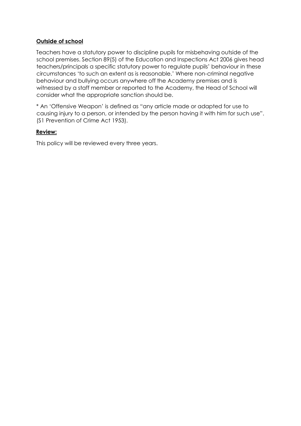# **Outside of school**

Teachers have a statutory power to discipline pupils for misbehaving outside of the school premises. Section 89(5) of the Education and Inspections Act 2006 gives head teachers/principals a specific statutory power to regulate pupils' behaviour in these circumstances 'to such an extent as is reasonable.' Where non-criminal negative behaviour and bullying occurs anywhere off the Academy premises and is witnessed by a staff member or reported to the Academy, the Head of School will consider what the appropriate sanction should be.

\* An 'Offensive Weapon' is defined as "any article made or adapted for use to causing injury to a person, or intended by the person having it with him for such use". (S1 Prevention of Crime Act 1953).

#### **Review:**

This policy will be reviewed every three years.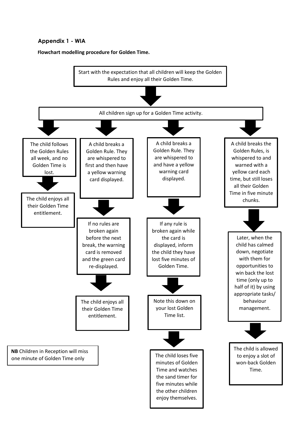# **Appendix 1 - WIA**

**Flowchart modelling procedure for Golden Time.**